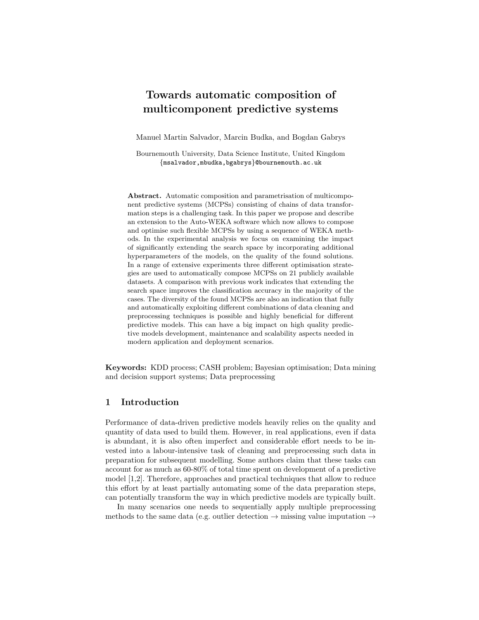# Towards automatic composition of multicomponent predictive systems

Manuel Martin Salvador, Marcin Budka, and Bogdan Gabrys

Bournemouth University, Data Science Institute, United Kingdom {msalvador,mbudka,bgabrys}@bournemouth.ac.uk

Abstract. Automatic composition and parametrisation of multicomponent predictive systems (MCPSs) consisting of chains of data transformation steps is a challenging task. In this paper we propose and describe an extension to the Auto-WEKA software which now allows to compose and optimise such flexible MCPSs by using a sequence of WEKA methods. In the experimental analysis we focus on examining the impact of significantly extending the search space by incorporating additional hyperparameters of the models, on the quality of the found solutions. In a range of extensive experiments three different optimisation strategies are used to automatically compose MCPSs on 21 publicly available datasets. A comparison with previous work indicates that extending the search space improves the classification accuracy in the majority of the cases. The diversity of the found MCPSs are also an indication that fully and automatically exploiting different combinations of data cleaning and preprocessing techniques is possible and highly beneficial for different predictive models. This can have a big impact on high quality predictive models development, maintenance and scalability aspects needed in modern application and deployment scenarios.

Keywords: KDD process; CASH problem; Bayesian optimisation; Data mining and decision support systems; Data preprocessing

## 1 Introduction

Performance of data-driven predictive models heavily relies on the quality and quantity of data used to build them. However, in real applications, even if data is abundant, it is also often imperfect and considerable effort needs to be invested into a labour-intensive task of cleaning and preprocessing such data in preparation for subsequent modelling. Some authors claim that these tasks can account for as much as 60-80% of total time spent on development of a predictive model [\[1](#page-10-0)[,2\]](#page-10-1). Therefore, approaches and practical techniques that allow to reduce this effort by at least partially automating some of the data preparation steps, can potentially transform the way in which predictive models are typically built.

In many scenarios one needs to sequentially apply multiple preprocessing methods to the same data (e.g. outlier detection  $\rightarrow$  missing value imputation  $\rightarrow$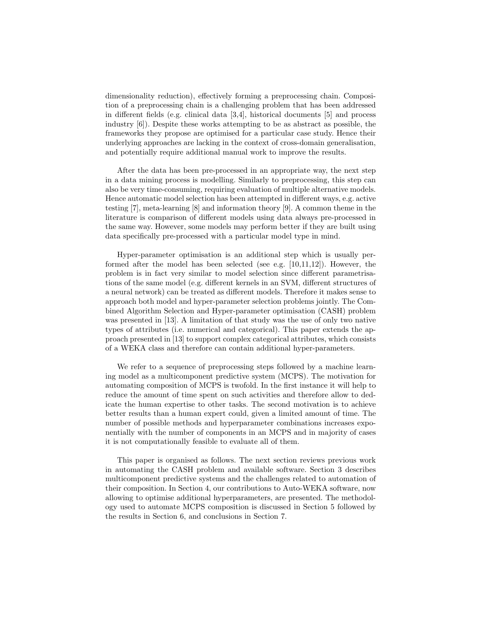dimensionality reduction), effectively forming a preprocessing chain. Composition of a preprocessing chain is a challenging problem that has been addressed in different fields (e.g. clinical data [\[3,](#page-10-2)[4\]](#page-10-3), historical documents [\[5\]](#page-10-4) and process industry [\[6\]](#page-11-0)). Despite these works attempting to be as abstract as possible, the frameworks they propose are optimised for a particular case study. Hence their underlying approaches are lacking in the context of cross-domain generalisation, and potentially require additional manual work to improve the results.

After the data has been pre-processed in an appropriate way, the next step in a data mining process is modelling. Similarly to preprocessing, this step can also be very time-consuming, requiring evaluation of multiple alternative models. Hence automatic model selection has been attempted in different ways, e.g. active testing [\[7\]](#page-11-1), meta-learning [\[8\]](#page-11-2) and information theory [\[9\]](#page-11-3). A common theme in the literature is comparison of different models using data always pre-processed in the same way. However, some models may perform better if they are built using data specifically pre-processed with a particular model type in mind.

Hyper-parameter optimisation is an additional step which is usually performed after the model has been selected (see e.g. [\[10](#page-11-4)[,11,](#page-11-5)[12\]](#page-11-6)). However, the problem is in fact very similar to model selection since different parametrisations of the same model (e.g. different kernels in an SVM, different structures of a neural network) can be treated as different models. Therefore it makes sense to approach both model and hyper-parameter selection problems jointly. The Combined Algorithm Selection and Hyper-parameter optimisation (CASH) problem was presented in [\[13\]](#page-11-7). A limitation of that study was the use of only two native types of attributes (i.e. numerical and categorical). This paper extends the approach presented in [\[13\]](#page-11-7) to support complex categorical attributes, which consists of a WEKA class and therefore can contain additional hyper-parameters.

We refer to a sequence of preprocessing steps followed by a machine learning model as a multicomponent predictive system (MCPS). The motivation for automating composition of MCPS is twofold. In the first instance it will help to reduce the amount of time spent on such activities and therefore allow to dedicate the human expertise to other tasks. The second motivation is to achieve better results than a human expert could, given a limited amount of time. The number of possible methods and hyperparameter combinations increases exponentially with the number of components in an MCPS and in majority of cases it is not computationally feasible to evaluate all of them.

This paper is organised as follows. The next section reviews previous work in automating the CASH problem and available software. Section [3](#page-3-0) describes multicomponent predictive systems and the challenges related to automation of their composition. In Section [4,](#page-4-0) our contributions to Auto-WEKA software, now allowing to optimise additional hyperparameters, are presented. The methodology used to automate MCPS composition is discussed in Section [5](#page-4-1) followed by the results in Section [6,](#page-5-0) and conclusions in Section [7.](#page-9-0)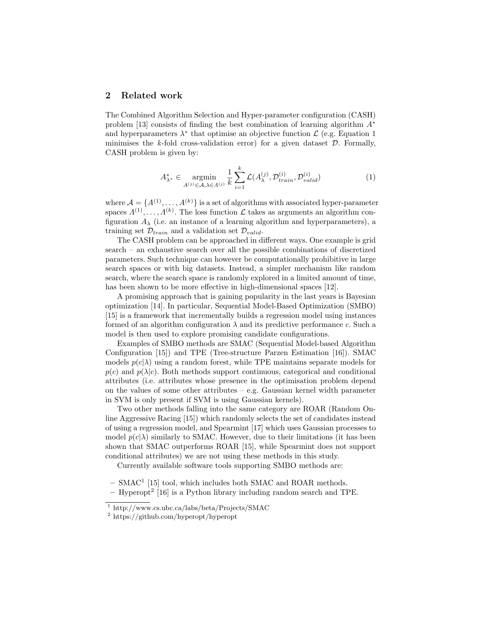## 2 Related work

The Combined Algorithm Selection and Hyper-parameter configuration (CASH) problem [\[13\]](#page-11-7) consists of finding the best combination of learning algorithm  $A^*$ and hyperparameters  $\lambda^*$  that optimise an objective function  $\mathcal{L}$  (e.g. Equation [1](#page-2-0)) minimises the k-fold cross-validation error) for a given dataset  $\mathcal{D}$ . Formally, CASH problem is given by:

<span id="page-2-0"></span>
$$
A_{\lambda^*}^* \in \underset{A^{(j)} \in \mathcal{A}, \lambda \in \Lambda^{(j)}}{\operatorname{argmin}} \frac{1}{k} \sum_{i=1}^k \mathcal{L}(A_{\lambda}^{(j)}, \mathcal{D}_{train}^{(i)}, \mathcal{D}_{valid}^{(i)}) \tag{1}
$$

where  $A = \{A^{(1)}, \ldots, A^{(k)}\}$  is a set of algorithms with associated hyper-parameter spaces  $\Lambda^{(1)}, \ldots, \Lambda^{(k)}$ . The loss function  $\mathcal L$  takes as arguments an algorithm configuration  $A_{\lambda}$  (i.e. an instance of a learning algorithm and hyperparameters), a training set  $\mathcal{D}_{train}$  and a validation set  $\mathcal{D}_{valid}$ .

The CASH problem can be approached in different ways. One example is grid search – an exhaustive search over all the possible combinations of discretized parameters. Such technique can however be computationally prohibitive in large search spaces or with big datasets. Instead, a simpler mechanism like random search, where the search space is randomly explored in a limited amount of time, has been shown to be more effective in high-dimensional spaces [\[12\]](#page-11-6).

A promising approach that is gaining popularity in the last years is Bayesian optimization [\[14\]](#page-11-8). In particular, Sequential Model-Based Optimization (SMBO) [\[15\]](#page-11-9) is a framework that incrementally builds a regression model using instances formed of an algorithm configuration  $\lambda$  and its predictive performance c. Such a model is then used to explore promising candidate configurations.

Examples of SMBO methods are SMAC (Sequential Model-based Algorithm Configuration [\[15\]](#page-11-9)) and TPE (Tree-structure Parzen Estimation [\[16\]](#page-11-10)). SMAC models  $p(c|\lambda)$  using a random forest, while TPE maintains separate models for  $p(c)$  and  $p(\lambda|c)$ . Both methods support continuous, categorical and conditional attributes (i.e. attributes whose presence in the optimisation problem depend on the values of some other attributes – e.g. Gaussian kernel width parameter in SVM is only present if SVM is using Gaussian kernels).

Two other methods falling into the same category are ROAR (Random Online Aggressive Racing [\[15\]](#page-11-9)) which randomly selects the set of candidates instead of using a regression model, and Spearmint [\[17\]](#page-11-11) which uses Gaussian processes to model  $p(c|\lambda)$  similarly to SMAC. However, due to their limitations (it has been shown that SMAC outperforms ROAR [\[15\]](#page-11-9), while Spearmint does not support conditional attributes) we are not using these methods in this study.

Currently available software tools supporting SMBO methods are:

- $-$  SMAC<sup>[1](#page-2-1)</sup> [\[15\]](#page-11-9) tool, which includes both SMAC and ROAR methods.
- Hyperopt[2](#page-2-2) [\[16\]](#page-11-10) is a Python library including random search and TPE.

<span id="page-2-1"></span> $\frac{1}{1}$  http://www.cs.ubc.ca/labs/beta/Projects/SMAC

<span id="page-2-2"></span><sup>2</sup> https://github.com/hyperopt/hyperopt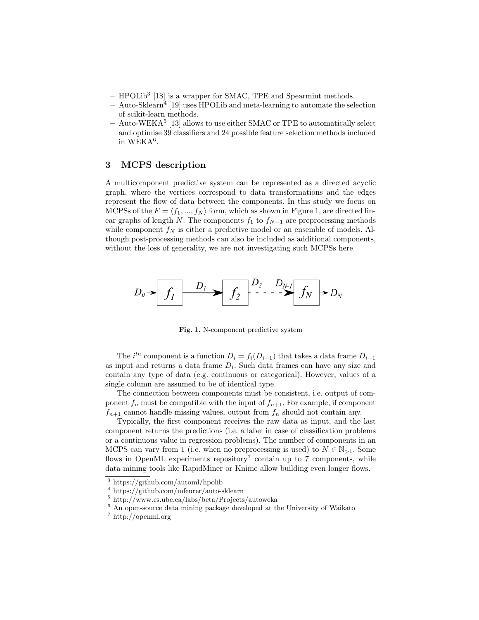- HPOLib[3](#page-3-1) [\[18\]](#page-11-12) is a wrapper for SMAC, TPE and Spearmint methods.
- Auto-Sklearn<sup>[4](#page-3-2)</sup> [\[19\]](#page-11-13) uses HPOLib and meta-learning to automate the selection of scikit-learn methods.
- Auto-WEKA<sup>[5](#page-3-3)</sup> [\[13\]](#page-11-7) allows to use either SMAC or TPE to automatically select and optimise 39 classifiers and 24 possible feature selection methods included in  $WEKA<sup>6</sup>$  $WEKA<sup>6</sup>$  $WEKA<sup>6</sup>$ .

### <span id="page-3-0"></span>3 MCPS description

A multicomponent predictive system can be represented as a directed acyclic graph, where the vertices correspond to data transformations and the edges represent the flow of data between the components. In this study we focus on MCPSs of the  $F = \langle f_1, ..., f_N \rangle$  $F = \langle f_1, ..., f_N \rangle$  $F = \langle f_1, ..., f_N \rangle$  form, which as shown in Figure 1, are directed linear graphs of length N. The components  $f_1$  to  $f_{N-1}$  are preprocessing methods while component  $f_N$  is either a predictive model or an ensemble of models. Although post-processing methods can also be included as additional components, without the loss of generality, we are not investigating such MCPSs here.



<span id="page-3-5"></span>Fig. 1. N-component predictive system

The *i*<sup>th</sup> component is a function  $D_i = f_i(D_{i-1})$  that takes a data frame  $D_{i-1}$ as input and returns a data frame  $D_i$ . Such data frames can have any size and contain any type of data (e.g. continuous or categorical). However, values of a single column are assumed to be of identical type.

The connection between components must be consistent, i.e. output of component  $f_n$  must be compatible with the input of  $f_{n+1}$ . For example, if component  $f_{n+1}$  cannot handle missing values, output from  $f_n$  should not contain any.

Typically, the first component receives the raw data as input, and the last component returns the predictions (i.e. a label in case of classification problems or a continuous value in regression problems). The number of components in an MCPS can vary from 1 (i.e. when no preprocessing is used) to  $N \in \mathbb{N}_{>1}$ . Some flows in OpenML experiments repository<sup>[7](#page-3-6)</sup> contain up to 7 components, while data mining tools like RapidMiner or Knime allow building even longer flows.

<span id="page-3-1"></span><sup>3</sup> https://github.com/automl/hpolib

<span id="page-3-2"></span><sup>4</sup> https://github.com/mfeurer/auto-sklearn

<span id="page-3-3"></span><sup>5</sup> http://www.cs.ubc.ca/labs/beta/Projects/autoweka

<span id="page-3-4"></span><sup>6</sup> An open-source data mining package developed at the University of Waikato

<span id="page-3-6"></span><sup>7</sup> http://openml.org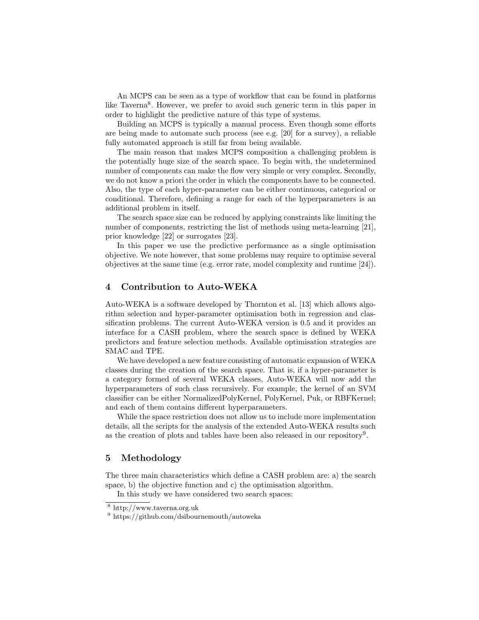An MCPS can be seen as a type of workflow that can be found in platforms like Taverna<sup>[8](#page-4-2)</sup>. However, we prefer to avoid such generic term in this paper in order to highlight the predictive nature of this type of systems.

Building an MCPS is typically a manual process. Even though some efforts are being made to automate such process (see e.g. [\[20\]](#page-11-14) for a survey), a reliable fully automated approach is still far from being available.

The main reason that makes MCPS composition a challenging problem is the potentially huge size of the search space. To begin with, the undetermined number of components can make the flow very simple or very complex. Secondly, we do not know a priori the order in which the components have to be connected. Also, the type of each hyper-parameter can be either continuous, categorical or conditional. Therefore, defining a range for each of the hyperparameters is an additional problem in itself.

The search space size can be reduced by applying constraints like limiting the number of components, restricting the list of methods using meta-learning [\[21\]](#page-11-15), prior knowledge [\[22\]](#page-11-16) or surrogates [\[23\]](#page-11-17).

In this paper we use the predictive performance as a single optimisation objective. We note however, that some problems may require to optimise several objectives at the same time (e.g. error rate, model complexity and runtime [\[24\]](#page-11-18)).

#### <span id="page-4-0"></span>4 Contribution to Auto-WEKA

Auto-WEKA is a software developed by Thornton et al. [\[13\]](#page-11-7) which allows algorithm selection and hyper-parameter optimisation both in regression and classification problems. The current Auto-WEKA version is 0.5 and it provides an interface for a CASH problem, where the search space is defined by WEKA predictors and feature selection methods. Available optimisation strategies are SMAC and TPE.

We have developed a new feature consisting of automatic expansion of WEKA classes during the creation of the search space. That is, if a hyper-parameter is a category formed of several WEKA classes, Auto-WEKA will now add the hyperparameters of such class recursively. For example, the kernel of an SVM classifier can be either NormalizedPolyKernel, PolyKernel, Puk, or RBFKernel; and each of them contains different hyperparameters.

While the space restriction does not allow us to include more implementation details, all the scripts for the analysis of the extended Auto-WEKA results such as the creation of plots and tables have been also released in our repository<sup>[9](#page-4-3)</sup>.

#### <span id="page-4-1"></span>5 Methodology

The three main characteristics which define a CASH problem are: a) the search space, b) the objective function and c) the optimisation algorithm.

In this study we have considered two search spaces:

<span id="page-4-2"></span><sup>8</sup> http://www.taverna.org.uk

<span id="page-4-3"></span><sup>9</sup> https://github.com/dsibournemouth/autoweka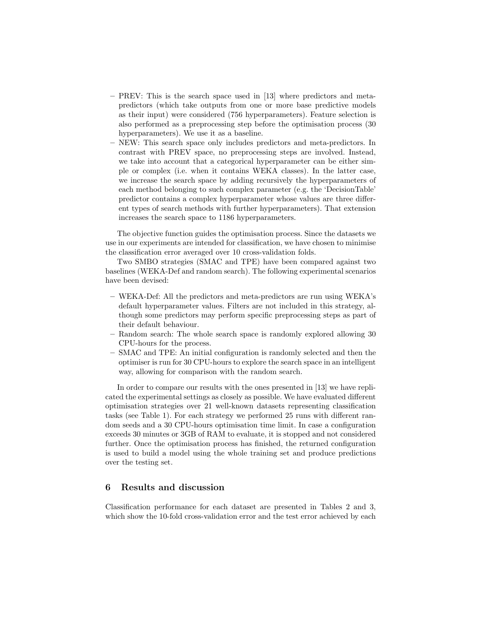- PREV: This is the search space used in [\[13\]](#page-11-7) where predictors and metapredictors (which take outputs from one or more base predictive models as their input) were considered (756 hyperparameters). Feature selection is also performed as a preprocessing step before the optimisation process (30 hyperparameters). We use it as a baseline.
- NEW: This search space only includes predictors and meta-predictors. In contrast with PREV space, no preprocessing steps are involved. Instead, we take into account that a categorical hyperparameter can be either simple or complex (i.e. when it contains WEKA classes). In the latter case, we increase the search space by adding recursively the hyperparameters of each method belonging to such complex parameter (e.g. the 'DecisionTable' predictor contains a complex hyperparameter whose values are three different types of search methods with further hyperparameters). That extension increases the search space to 1186 hyperparameters.

The objective function guides the optimisation process. Since the datasets we use in our experiments are intended for classification, we have chosen to minimise the classification error averaged over 10 cross-validation folds.

Two SMBO strategies (SMAC and TPE) have been compared against two baselines (WEKA-Def and random search). The following experimental scenarios have been devised:

- WEKA-Def: All the predictors and meta-predictors are run using WEKA's default hyperparameter values. Filters are not included in this strategy, although some predictors may perform specific preprocessing steps as part of their default behaviour.
- Random search: The whole search space is randomly explored allowing 30 CPU-hours for the process.
- SMAC and TPE: An initial configuration is randomly selected and then the optimiser is run for 30 CPU-hours to explore the search space in an intelligent way, allowing for comparison with the random search.

In order to compare our results with the ones presented in [\[13\]](#page-11-7) we have replicated the experimental settings as closely as possible. We have evaluated different optimisation strategies over 21 well-known datasets representing classification tasks (see Table [1\)](#page-6-0). For each strategy we performed 25 runs with different random seeds and a 30 CPU-hours optimisation time limit. In case a configuration exceeds 30 minutes or 3GB of RAM to evaluate, it is stopped and not considered further. Once the optimisation process has finished, the returned configuration is used to build a model using the whole training set and produce predictions over the testing set.

## <span id="page-5-0"></span>6 Results and discussion

Classification performance for each dataset are presented in Tables [2](#page-8-0) and [3,](#page-9-1) which show the 10-fold cross-validation error and the test error achieved by each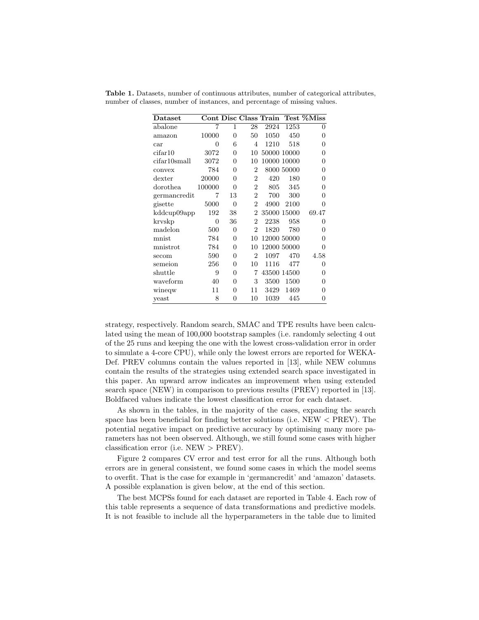| Dataset      |        |                |                |      |             | Cont Disc Class Train Test %Miss |
|--------------|--------|----------------|----------------|------|-------------|----------------------------------|
| abalone      | 7      | 1              | 28             | 2924 | 1253        | 0                                |
| amazon       | 10000  | $\overline{0}$ | 50             | 1050 | 450         | 0                                |
| car          | 0      | 6              | $\overline{4}$ | 1210 | 518         | 0                                |
| cifar10      | 3072   | 0              | 10             |      | 50000 10000 | 0                                |
| cifar10small | 3072   | 0              | 10             |      | 10000 10000 | 0                                |
| convex       | 784    | 0              | 2              |      | 8000 50000  | 0                                |
| dexter       | 20000  | 0              | 2              | 420  | 180         | 0                                |
| dorothea     | 100000 | $\theta$       | $\overline{2}$ | 805  | 345         | 0                                |
| germancredit | 7      | 13             | 2              | 700  | 300         | 0                                |
| gisette      | 5000   | $\overline{0}$ | $\overline{2}$ | 4900 | 2100        | 0                                |
| kddcup09app  | 192    | 38             | $\overline{2}$ |      | 35000 15000 | 69.47                            |
| kryskp       | 0      | 36             | $\overline{2}$ | 2238 | 958         | 0                                |
| madelon      | 500    | $\overline{0}$ | $\overline{2}$ | 1820 | 780         | 0                                |
| mnist        | 784    | $\theta$       | 10             |      | 12000 50000 | 0                                |
| mnistrot     | 784    | $\theta$       | 10             |      | 12000 50000 | 0                                |
| secom        | 590    | $\Omega$       | $\overline{2}$ | 1097 | 470         | 4.58                             |
| semeion      | 256    | 0              | 10             | 1116 | 477         | 0                                |
| shuttle      | 9      | $\theta$       | 7              |      | 43500 14500 | 0                                |
| waveform     | 40     | 0              | 3              | 3500 | 1500        | 0                                |
| wineqw       | 11     | 0              | 11             | 3429 | 1469        | 0                                |
| yeast        | 8      | 0              | 10             | 1039 | 445         | 0                                |

<span id="page-6-0"></span>Table 1. Datasets, number of continuous attributes, number of categorical attributes, number of classes, number of instances, and percentage of missing values.

strategy, respectively. Random search, SMAC and TPE results have been calculated using the mean of 100,000 bootstrap samples (i.e. randomly selecting 4 out of the 25 runs and keeping the one with the lowest cross-validation error in order to simulate a 4-core CPU), while only the lowest errors are reported for WEKA-Def. PREV columns contain the values reported in [\[13\]](#page-11-7), while NEW columns contain the results of the strategies using extended search space investigated in this paper. An upward arrow indicates an improvement when using extended search space (NEW) in comparison to previous results (PREV) reported in [\[13\]](#page-11-7). Boldfaced values indicate the lowest classification error for each dataset.

As shown in the tables, in the majority of the cases, expanding the search space has been beneficial for finding better solutions (i.e.  $NEW < PREV$ ). The potential negative impact on predictive accuracy by optimising many more parameters has not been observed. Although, we still found some cases with higher classification error (i.e. NEW > PREV).

Figure [2](#page-7-0) compares CV error and test error for all the runs. Although both errors are in general consistent, we found some cases in which the model seems to overfit. That is the case for example in 'germancredit' and 'amazon' datasets. A possible explanation is given below, at the end of this section.

The best MCPSs found for each dataset are reported in Table [4.](#page-10-5) Each row of this table represents a sequence of data transformations and predictive models. It is not feasible to include all the hyperparameters in the table due to limited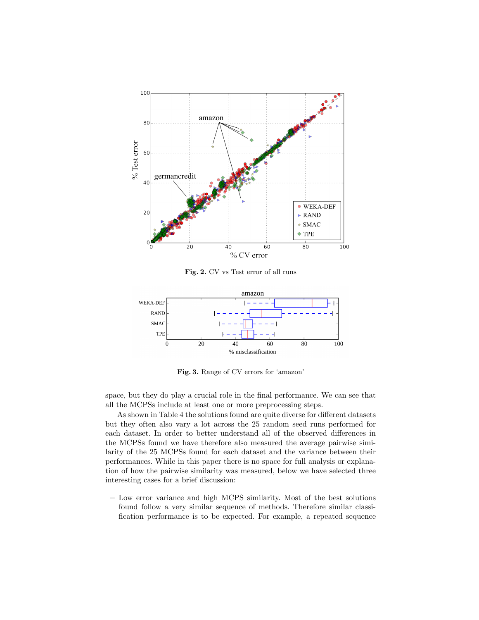

<span id="page-7-0"></span>Fig. 2. CV vs Test error of all runs



<span id="page-7-1"></span>Fig. 3. Range of CV errors for 'amazon'

space, but they do play a crucial role in the final performance. We can see that all the MCPSs include at least one or more preprocessing steps.

As shown in Table [4](#page-10-5) the solutions found are quite diverse for different datasets but they often also vary a lot across the 25 random seed runs performed for each dataset. In order to better understand all of the observed differences in the MCPSs found we have therefore also measured the average pairwise similarity of the 25 MCPSs found for each dataset and the variance between their performances. While in this paper there is no space for full analysis or explanation of how the pairwise similarity was measured, below we have selected three interesting cases for a brief discussion:

– Low error variance and high MCPS similarity. Most of the best solutions found follow a very similar sequence of methods. Therefore similar classification performance is to be expected. For example, a repeated sequence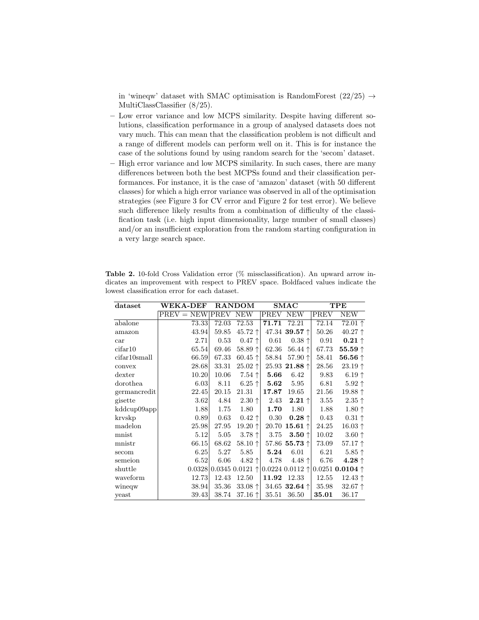in 'wineqw' dataset with SMAC optimisation is RandomForest  $(22/25) \rightarrow$ MultiClassClassifier (8/25).

- Low error variance and low MCPS similarity. Despite having different solutions, classification performance in a group of analysed datasets does not vary much. This can mean that the classification problem is not difficult and a range of different models can perform well on it. This is for instance the case of the solutions found by using random search for the 'secom' dataset.
- High error variance and low MCPS similarity. In such cases, there are many differences between both the best MCPSs found and their classification performances. For instance, it is the case of 'amazon' dataset (with 50 different classes) for which a high error variance was observed in all of the optimisation strategies (see Figure [3](#page-7-1) for CV error and Figure [2](#page-7-0) for test error). We believe such difference likely results from a combination of difficulty of the classification task (i.e. high input dimensionality, large number of small classes) and/or an insufficient exploration from the random starting configuration in a very large search space.

| dataset      | <b>WEKA-DEF</b> |             | <b>RANDOM</b>      |       | $_{\rm SMAC}$                 |       | TPE                             |
|--------------|-----------------|-------------|--------------------|-------|-------------------------------|-------|---------------------------------|
|              | $PREV = NEW$    | <b>PREV</b> | <b>NEW</b>         | PREV  | <b>NEW</b>                    | PREV  | NEW                             |
| abalone      | 73.33           | 72.03       | 72.53              | 71.71 | 72.21                         | 72.14 | $72.01 \uparrow$                |
| amazon       | 43.94           | 59.85       | 45.72 ↑            |       | 47.34 39.57 ↑                 | 50.26 | $40.27$ ↑                       |
| car          | 2.71            | 0.53        | $0.47$ $\uparrow$  | 0.61  | $0.38 \uparrow$               | 0.91  | $0.21 \uparrow$                 |
| cifar10      | 65.54           | 69.46       | 58.89 $\uparrow$   | 62.36 | $56.44$ $\uparrow$            | 67.73 | 55.59 $\uparrow$                |
| cifar10small | 66.59           | 67.33       | 60.45 $\uparrow$   | 58.84 | 57.90 个                       | 58.41 | 56.56 $\uparrow$                |
| convex       | 28.68           | 33.31       | $25.02$ $\uparrow$ |       | 25.93 21.88 $\uparrow$        | 28.56 | $23.19 \uparrow$                |
| dexter       | 10.20           | 10.06       | $7.54$ $\uparrow$  | 5.66  | 6.42                          | 9.83  | $6.19$ $\uparrow$               |
| dorothea     | 6.03            | 8.11        | $6.25$ $\uparrow$  | 5.62  | 5.95                          | 6.81  | $5.92$ $\uparrow$               |
| germancredit | 22.45           | 20.15       | 21.31              | 17.87 | 19.65                         | 21.56 | 19.88 ↑                         |
| gisette      | 3.62            | 4.84        | $2.30 \uparrow$    | 2.43  | $2.21 \uparrow$               | 3.55  | $2.35 \uparrow$                 |
| kddcup09app  | 1.88            | 1.75        | 1.80               | 1.70  | 1.80                          | 1.88  | $1.80 \uparrow$                 |
| kryskp       | 0.89            | 0.63        | $0.42 \uparrow$    | 0.30  | $0.28 \uparrow$               | 0.43  | $0.31 \uparrow$                 |
| madelon      | 25.98           | 27.95       | 19.20 ↑            | 20.70 | $15.61 \uparrow$              | 24.25 | $16.03$ $\uparrow$              |
| mnist        | 5.12            | 5.05        | $3.78 \uparrow$    | 3.75  | $3.50$ $\dagger$              | 10.02 | $3.60 \uparrow$                 |
| mnistr       | 66.15           | 68.62       | 58.10 $\uparrow$   |       | 57.86 55.73 $\uparrow$        | 73.09 | $57.17$ $\uparrow$              |
| secom        | 6.25            | 5.27        | 5.85               | 5.24  | 6.01                          | 6.21  | $5.85$ $\uparrow$               |
| semeion      | 6.52            | 6.06        | 4.82 $\uparrow$    | 4.78  | 4.48 $\uparrow$               | 6.76  | $4.28 \uparrow$                 |
| shuttle      | 0.0328          |             | $0.0345 0.0121$ 1  |       | $0.0224$ $0.0112$ $\uparrow$  |       | 0.0251 <b>0.0104</b> $\uparrow$ |
| waveform     | 12.73           | 12.43       | 12.50              | 11.92 | 12.33                         | 12.55 | $12.43$ $\uparrow$              |
| wineqw       | 38.94           | 35.36       | 33.08 $\uparrow$   |       | 34.65 <b>32.64</b> $\uparrow$ | 35.98 | $32.67$ $\uparrow$              |
| yeast        | 39.43           | 38.74       | 37.16 $\uparrow$   | 35.51 | 36.50                         | 35.01 | 36.17                           |

<span id="page-8-0"></span>Table 2. 10-fold Cross Validation error (% missclassification). An upward arrow indicates an improvement with respect to PREV space. Boldfaced values indicate the lowest classification error for each dataset.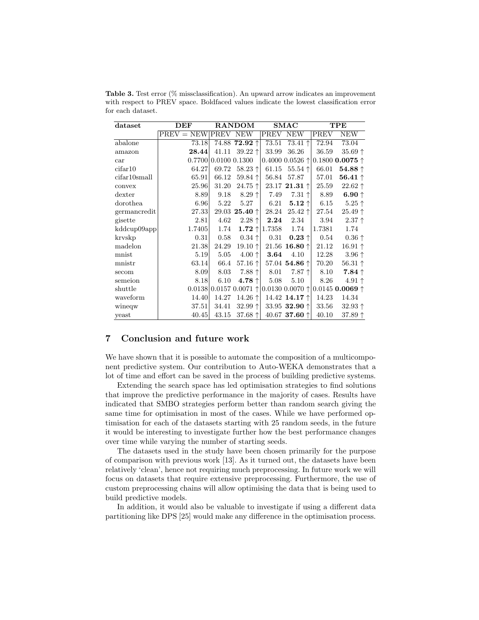| dataset      | DEF                   |                        | <b>RANDOM</b>          |        | <b>SMAC</b>                   |        | TPE                             |
|--------------|-----------------------|------------------------|------------------------|--------|-------------------------------|--------|---------------------------------|
|              | $PREV = NEW PREV$ NEW |                        |                        | PREV   | <b>NEW</b>                    | PREV   | <b>NEW</b>                      |
| abalone      | 73.18                 |                        | 74.88 72.92 ↑          | 73.51  | 73.41 $\uparrow$              | 72.94  | 73.04                           |
| amazon       | 28.44                 | 41.11                  | $39.22$ $\uparrow$     | 33.99  | 36.26                         | 36.59  | 35.69 ↑                         |
| car          |                       | 0.7700   0.0100 0.1300 |                        |        | $0.4000$ $0.0526$ $\uparrow$  |        | 0.1800 <b>0.0075</b> $\uparrow$ |
| cifar10      | 64.27                 | 69.72                  | $58.23$ $\uparrow$     | 61.15  | $55.54$ $\uparrow$            | 66.01  | $54.88$ $\uparrow$              |
| cifar10small | 65.91                 | 66.12                  | 59.84 $\uparrow$       | 56.84  | 57.87                         | 57.01  | 56.41 $\uparrow$                |
| convex       | 25.96                 | 31.20                  | $24.75$ $\uparrow$     |        | $23.17$ 21.31 $\uparrow$      | 25.59  | $22.62$ $\uparrow$              |
| dexter       | 8.89                  | 9.18                   | $8.29$ $\uparrow$      | 7.49   | $7.31$ $\uparrow$             | 8.89   | 6.90 $\uparrow$                 |
| dorothea     | 6.96                  | 5.22                   | 5.27                   | 6.21   | $5.12\uparrow$                | 6.15   | $5.25 \uparrow$                 |
| germancredit | 27.33                 |                        | 29.03 25.40 $\uparrow$ | 28.24  | $25.42 \uparrow$              | 27.54  | $25.49$ $\uparrow$              |
| gisette      | 2.81                  | 4.62                   | $2.28 +$               | 2.24   | 2.34                          | 3.94   | $2.37 \uparrow$                 |
| kddcup09app  | 1.7405                | 1.74                   | $1.72 \uparrow$        | 1.7358 | 1.74                          | 1.7381 | 1.74                            |
| krvskp       | 0.31                  | 0.58                   | $0.34 \uparrow$        | 0.31   | $0.23 \uparrow$               | 0.54   | $0.36 \uparrow$                 |
| madelon      | 21.38                 | 24.29                  | 19.10 ↑                |        | 21.56 <b>16.80</b> $\uparrow$ | 21.12  | $16.91 \uparrow$                |
| mnist        | 5.19                  | 5.05                   | $4.00 \uparrow$        | 3.64   | 4.10                          | 12.28  | $3.96 \uparrow$                 |
| mnistr       | 63.14                 | 66.4                   | 57.16 $\uparrow$       |        | 57.04 54.86 $\uparrow$        | 70.20  | $56.31 \uparrow$                |
| secom        | 8.09                  | 8.03                   | $7.88 \uparrow$        | 8.01   | $7.87$ $\uparrow$             | 8.10   | $7.84 \uparrow$                 |
| semeion      | 8.18                  | 6.10                   | $4.78 \uparrow$        | 5.08   | 5.10                          | 8.26   | $4.91 \uparrow$                 |
| shuttle      |                       |                        | 0.0138 0.0157 0.0071   |        | $0.013000000$ $\uparrow$      |        | 0.0145 <b>0.0069</b> $\uparrow$ |
| waveform     | 14.40                 | 14.27                  | 14.26 $\uparrow$       |        | 14.42 14.17 1                 | 14.23  | 14.34                           |
| wineqw       | 37.51                 | 34.41                  | $32.99$ $\uparrow$     |        | 33.95 <b>32.90</b> $\uparrow$ | 33.56  | $32.93 \uparrow$                |
| yeast        | 40.45                 | 43.15                  | 37.68 $\uparrow$       |        | 40.67 <b>37.60</b> $\uparrow$ | 40.10  | 37.89 $\uparrow$                |

<span id="page-9-1"></span>Table 3. Test error (% missclassification). An upward arrow indicates an improvement with respect to PREV space. Boldfaced values indicate the lowest classification error for each dataset.

## <span id="page-9-0"></span>7 Conclusion and future work

We have shown that it is possible to automate the composition of a multicomponent predictive system. Our contribution to Auto-WEKA demonstrates that a lot of time and effort can be saved in the process of building predictive systems.

Extending the search space has led optimisation strategies to find solutions that improve the predictive performance in the majority of cases. Results have indicated that SMBO strategies perform better than random search giving the same time for optimisation in most of the cases. While we have performed optimisation for each of the datasets starting with 25 random seeds, in the future it would be interesting to investigate further how the best performance changes over time while varying the number of starting seeds.

The datasets used in the study have been chosen primarily for the purpose of comparison with previous work [\[13\]](#page-11-7). As it turned out, the datasets have been relatively 'clean', hence not requiring much preprocessing. In future work we will focus on datasets that require extensive preprocessing. Furthermore, the use of custom preprocessing chains will allow optimising the data that is being used to build predictive models.

In addition, it would also be valuable to investigate if using a different data partitioning like DPS [\[25\]](#page-11-19) would make any difference in the optimisation process.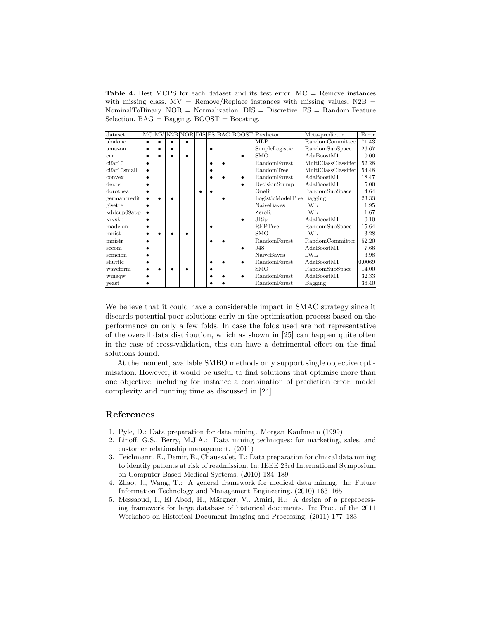<span id="page-10-5"></span>**Table 4.** Best MCPS for each dataset and its test error.  $MC =$  Remove instances with missing class.  $MV = Remove/Replace$  instances with missing values.  $N2B =$ NominalToBinary. NOR = Normalization.  $DIS = Discretize$ .  $FS = Random Feature$ Selection.  $BAG =$  Bagging.  $BOOST =$  Boosting.

| dataset                  |  |  |           |  | MC MV N2B NOR DIS FS BAG BOOST Predictor | Meta-predictor       | Error  |
|--------------------------|--|--|-----------|--|------------------------------------------|----------------------|--------|
| abalone                  |  |  |           |  | MLP                                      | RandomCommittee      | 71.43  |
| amazon                   |  |  | $\bullet$ |  | SimpleLogistic                           | RandomSubSpace       | 26.67  |
| car                      |  |  |           |  | SMO                                      | AdaBoostM1           | 0.00   |
| cifar10                  |  |  |           |  | RandomForest                             | MultiClassClassifier | 52.28  |
| cifar10 <sub>small</sub> |  |  | ٠         |  | RandomTree                               | MultiClassClassifier | 54.48  |
| convex                   |  |  |           |  | RandomForest                             | AdaBoostM1           | 18.47  |
| dexter                   |  |  |           |  | DecisionStump                            | AdaBoostM1           | 5.00   |
| dorothea                 |  |  |           |  | OneR                                     | RandomSubSpace       | 4.64   |
| germancredit             |  |  |           |  | LogisticModelTree Bagging                |                      | 23.33  |
| gisette                  |  |  |           |  | NaiveBayes                               | <b>LWL</b>           | 1.95   |
| kddcup09app              |  |  |           |  | ZeroR                                    | LWL                  | 1.67   |
| kryskp                   |  |  |           |  | JRip                                     | AdaBoostM1           | 0.10   |
| madelon                  |  |  |           |  | REPTree                                  | RandomSubSpace       | 15.64  |
| mnist                    |  |  |           |  | <b>SMO</b>                               | <b>LWL</b>           | 3.28   |
| mnistr                   |  |  |           |  | RandomForest                             | RandomCommittee      | 52.20  |
| secom                    |  |  |           |  | J48                                      | AdaBoostM1           | 7.66   |
| semeion                  |  |  |           |  | NaiveBayes                               | LWL                  | 3.98   |
| shuttle                  |  |  |           |  | RandomForest                             | AdaBoostM1           | 0.0069 |
| waveform                 |  |  |           |  | <b>SMO</b>                               | RandomSubSpace       | 14.00  |
| wineqw                   |  |  |           |  | RandomForest                             | AdaBoostM1           | 32.33  |
| yeast                    |  |  |           |  | RandomForest                             | Bagging              | 36.40  |

We believe that it could have a considerable impact in SMAC strategy since it discards potential poor solutions early in the optimisation process based on the performance on only a few folds. In case the folds used are not representative of the overall data distribution, which as shown in [\[25\]](#page-11-19) can happen quite often in the case of cross-validation, this can have a detrimental effect on the final solutions found.

At the moment, available SMBO methods only support single objective optimisation. However, it would be useful to find solutions that optimise more than one objective, including for instance a combination of prediction error, model complexity and running time as discussed in [\[24\]](#page-11-18).

#### References

- <span id="page-10-0"></span>1. Pyle, D.: Data preparation for data mining. Morgan Kaufmann (1999)
- <span id="page-10-1"></span>2. Linoff, G.S., Berry, M.J.A.: Data mining techniques: for marketing, sales, and customer relationship management. (2011)
- <span id="page-10-2"></span>3. Teichmann, E., Demir, E., Chaussalet, T.: Data preparation for clinical data mining to identify patients at risk of readmission. In: IEEE 23rd International Symposium on Computer-Based Medical Systems. (2010) 184–189
- <span id="page-10-3"></span>4. Zhao, J., Wang, T.: A general framework for medical data mining. In: Future Information Technology and Management Engineering. (2010) 163–165
- <span id="page-10-4"></span>5. Messaoud, I., El Abed, H., Märgner, V., Amiri, H.: A design of a preprocessing framework for large database of historical documents. In: Proc. of the 2011 Workshop on Historical Document Imaging and Processing. (2011) 177–183